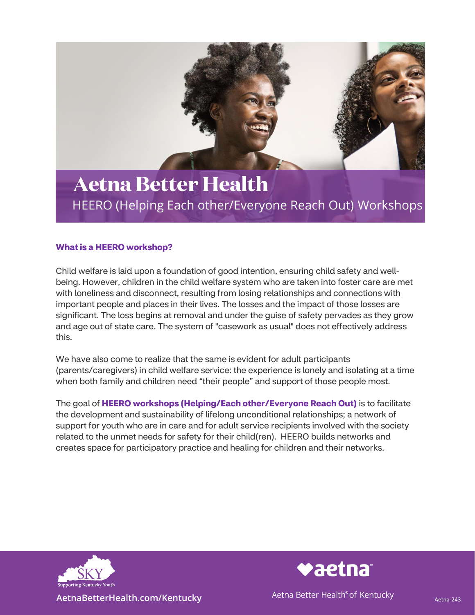

## **Aetna Better Health** HEERO (Helping Each other/Everyone Reach Out) Workshops

## **What is a HEERO workshop?**

Child welfare is laid upon a foundation of good intention, ensuring child safety and wellbeing. However, children in the child welfare system who are taken into foster care are met with loneliness and disconnect, resulting from losing relationships and connections with important people and places in their lives. The losses and the impact of those losses are significant. The loss begins at removal and under the guise of safety pervades as they grow and age out of state care. The system of "casework as usual" does not effectively address this.

We have also come to realize that the same is evident for adult participants (parents/caregivers) in child welfare service: the experience is lonely and isolating at a time when both family and children need "their people" and support of those people most.

The goal of **HEERO workshops (Helping/Each other/Everyone Reach Out)** is to facilitate the development and sustainability of lifelong unconditional relationships; a network of support for youth who are in care and for adult service recipients involved with the society related to the unmet needs for safety for their child(ren). HEERO builds networks and creates space for participatory practice and healing for children and their networks.